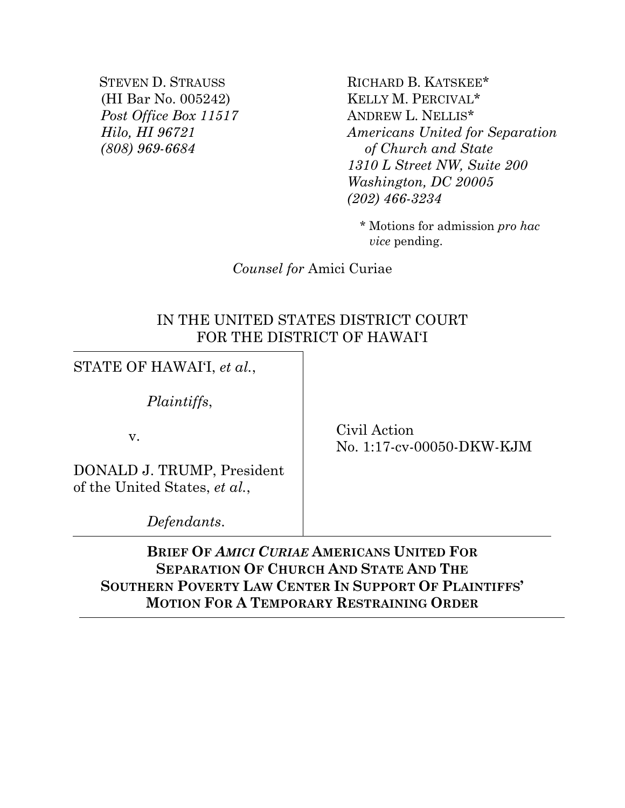STEVEN D. STRAUSS (HI Bar No. 005242) *Post Office Box 11517 Hilo, HI 96721 (808) 969-6684* 

RICHARD B. KATSKEE\* KELLY M. PERCIVAL\* ANDREW L. NELLIS\* *Americans United for Separation of Church and State 1310 L Street NW, Suite 200 Washington, DC 20005 (202) 466-3234* 

\* Motions for admission *pro hac vice* pending.

*Counsel for* Amici Curiae

### IN THE UNITED STATES DISTRICT COURT FOR THE DISTRICT OF HAWAI'I

STATE OF HAWAI'I, *et al.*,

*Plaintiffs*,

v.

DONALD J. TRUMP, President of the United States, *et al.*,

*Defendants*.

 Civil Action No. 1:17-cv-00050-DKW-KJM

**BRIEF OF** *AMICI CURIAE* **AMERICANS UNITED FOR SEPARATION OF CHURCH AND STATE AND THE SOUTHERN POVERTY LAW CENTER IN SUPPORT OF PLAINTIFFS' MOTION FOR A TEMPORARY RESTRAINING ORDER**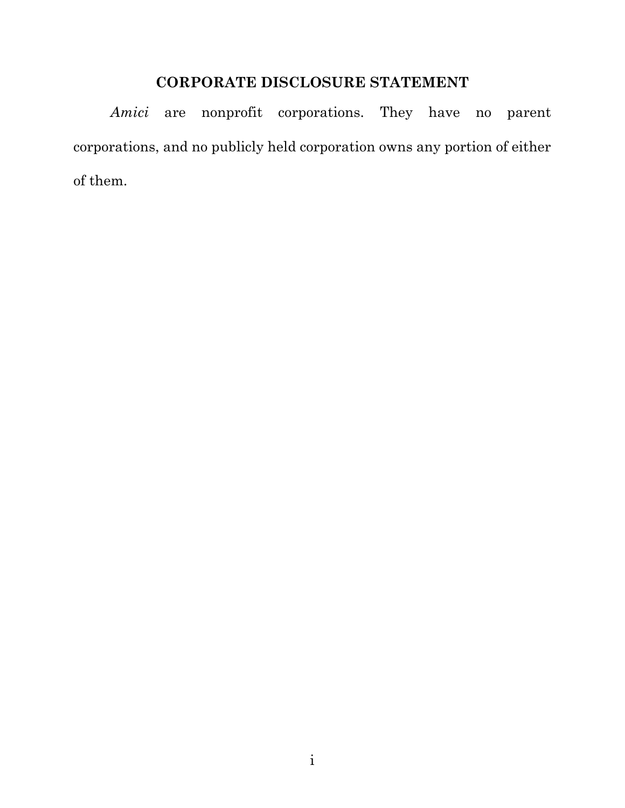## **CORPORATE DISCLOSURE STATEMENT**

*Amici* are nonprofit corporations. They have no parent corporations, and no publicly held corporation owns any portion of either of them.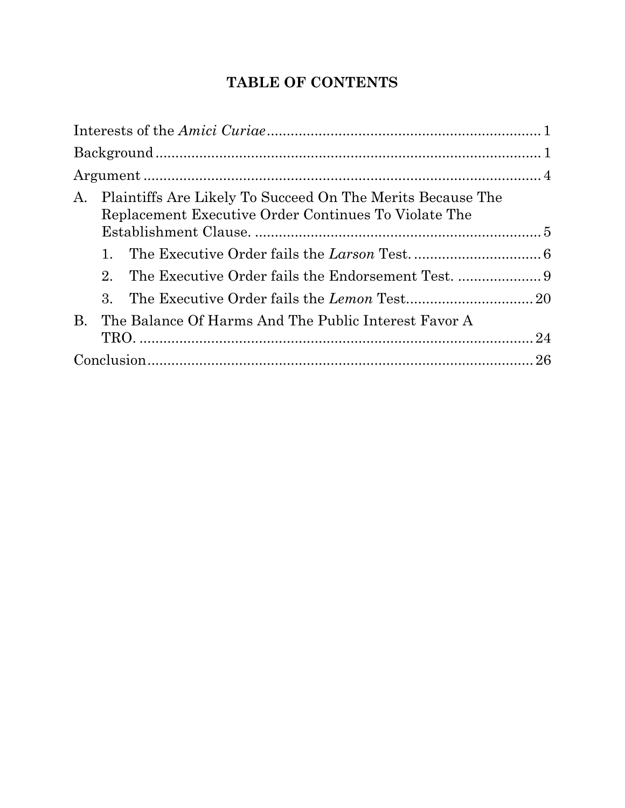# **TABLE OF CONTENTS**

| A.        | Plaintiffs Are Likely To Succeed On The Merits Because The<br>Replacement Executive Order Continues To Violate The |                                                      |  |  |
|-----------|--------------------------------------------------------------------------------------------------------------------|------------------------------------------------------|--|--|
|           | 1.                                                                                                                 |                                                      |  |  |
|           | $2_{\cdot}$                                                                                                        |                                                      |  |  |
|           | 3.                                                                                                                 |                                                      |  |  |
| <b>B.</b> |                                                                                                                    | The Balance Of Harms And The Public Interest Favor A |  |  |
|           |                                                                                                                    |                                                      |  |  |
|           |                                                                                                                    |                                                      |  |  |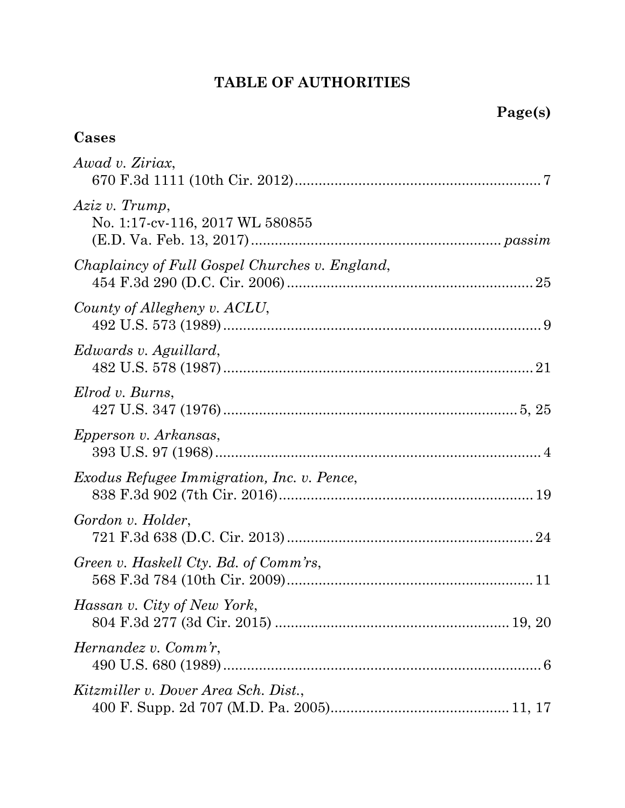# **TABLE OF AUTHORITIES**

## **Cases**

| Awad v. Ziriax,                                   |
|---------------------------------------------------|
| Aziz v. Trump,<br>No. 1:17-cv-116, 2017 WL 580855 |
| Chaplaincy of Full Gospel Churches v. England,    |
| County of Allegheny v. ACLU,                      |
| Edwards v. Aguillard,                             |
| Elrod v. Burns,                                   |
| Epperson v. Arkansas,                             |
| <i>Exodus Refugee Immigration, Inc. v. Pence,</i> |
| Gordon v. Holder,                                 |
| Green v. Haskell Cty. Bd. of Comm'rs,             |
| Hassan v. City of New York,                       |
| Hernandez v. Comm'r,                              |
| Kitzmiller v. Dover Area Sch. Dist.,              |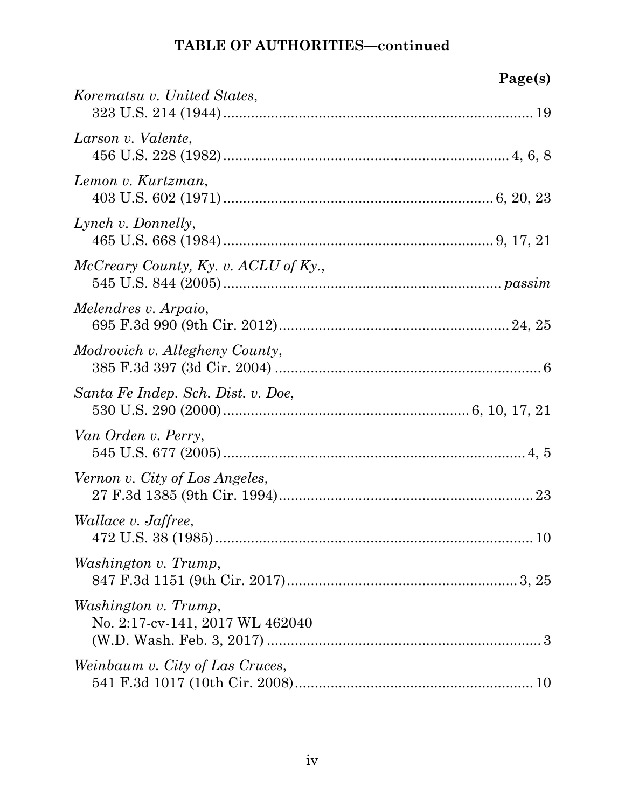| Page(s)                                                 |  |
|---------------------------------------------------------|--|
| Korematsu v. United States,                             |  |
| Larson v. Valente,                                      |  |
| Lemon v. Kurtzman,                                      |  |
| Lynch v. Donnelly,                                      |  |
| McCreary County, Ky. v. ACLU of Ky.,                    |  |
| Melendres v. Arpaio,                                    |  |
| Modrovich v. Allegheny County,                          |  |
| Santa Fe Indep. Sch. Dist. v. Doe,                      |  |
| Van Orden v. Perry,                                     |  |
| Vernon v. City of Los Angeles,                          |  |
| <i>Wallace v. Jaffree,</i>                              |  |
| Washington v. Trump,                                    |  |
| Washington v. Trump,<br>No. 2:17-cv-141, 2017 WL 462040 |  |
| Weinbaum v. City of Las Cruces,                         |  |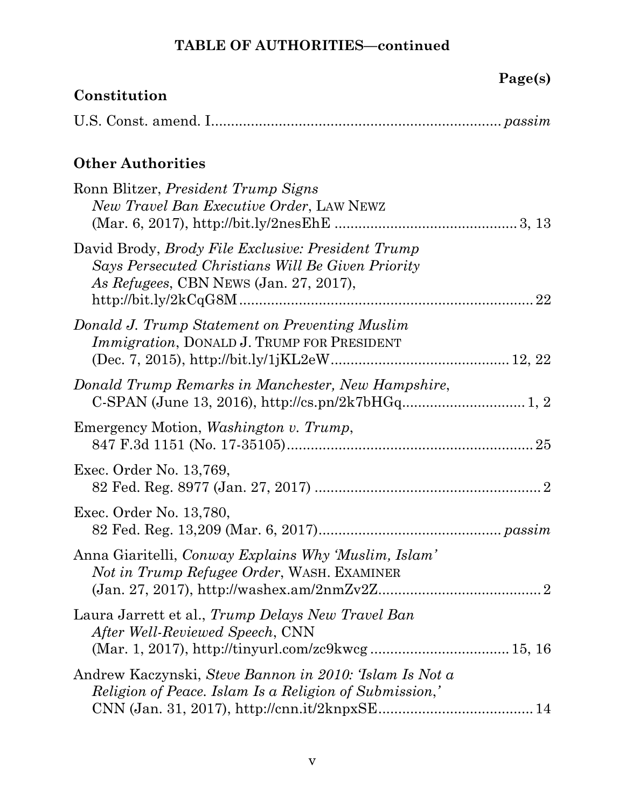| Page(s)                                                                                                                                                  |
|----------------------------------------------------------------------------------------------------------------------------------------------------------|
| Constitution                                                                                                                                             |
|                                                                                                                                                          |
| <b>Other Authorities</b>                                                                                                                                 |
| Ronn Blitzer, <i>President Trump Signs</i><br>New Travel Ban Executive Order, LAW NEWZ                                                                   |
| David Brody, <i>Brody File Exclusive: President Trump</i><br>Says Persecuted Christians Will Be Given Priority<br>As Refugees, CBN NEWS (Jan. 27, 2017), |
| Donald J. Trump Statement on Preventing Muslim<br><i>Immigration</i> , DONALD J. TRUMP FOR PRESIDENT                                                     |
| Donald Trump Remarks in Manchester, New Hampshire,                                                                                                       |
| Emergency Motion, <i>Washington v. Trump</i> ,                                                                                                           |
| Exec. Order No. 13,769,                                                                                                                                  |
| Exec. Order No. 13,780,                                                                                                                                  |
| Anna Giaritelli, Conway Explains Why 'Muslim, Islam'<br>Not in Trump Refugee Order, WASH. EXAMINER                                                       |
| Laura Jarrett et al., Trump Delays New Travel Ban<br><i>After Well-Reviewed Speech, CNN</i>                                                              |
| Andrew Kaczynski, Steve Bannon in 2010: Tslam Is Not a<br>Religion of Peace. Islam Is a Religion of Submission,'                                         |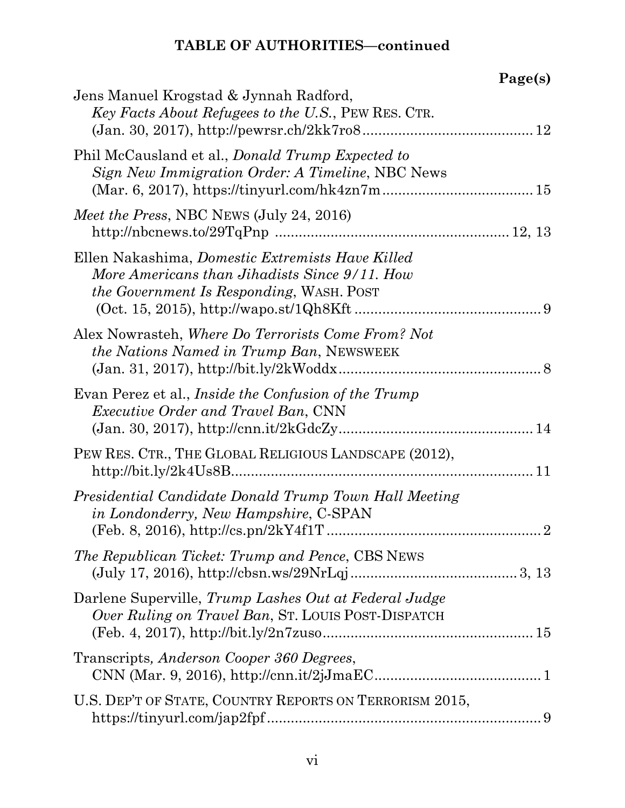|                                                                                                                                                      | Page(s) |
|------------------------------------------------------------------------------------------------------------------------------------------------------|---------|
| Jens Manuel Krogstad & Jynnah Radford,<br>Key Facts About Refugees to the U.S., PEW RES. CTR.                                                        |         |
| Phil McCausland et al., <i>Donald Trump Expected to</i><br>Sign New Immigration Order: A Timeline, NBC News                                          |         |
| <i>Meet the Press, NBC NEWS (July 24, 2016)</i>                                                                                                      |         |
| Ellen Nakashima, Domestic Extremists Have Killed<br>More Americans than Jihadists Since 9/11. How<br><i>the Government Is Responding, WASH. POST</i> |         |
| Alex Nowrasteh, Where Do Terrorists Come From? Not<br><i>the Nations Named in Trump Ban, NEWSWEEK</i>                                                |         |
| Evan Perez et al., <i>Inside the Confusion of the Trump</i><br><i>Executive Order and Travel Ban, CNN</i>                                            |         |
| PEW RES. CTR., THE GLOBAL RELIGIOUS LANDSCAPE (2012),<br>$http://bit.ly/2k4Us8B11$                                                                   |         |
| Presidential Candidate Donald Trump Town Hall Meeting<br><i>in Londonderry, New Hampshire, C-SPAN</i>                                                |         |
| <i>The Republican Ticket: Trump and Pence, CBS NEWS</i>                                                                                              |         |
| Darlene Superville, Trump Lashes Out at Federal Judge<br>Over Ruling on Travel Ban, St. LOUIS POST-DISPATCH                                          |         |
| Transcripts, Anderson Cooper 360 Degrees,                                                                                                            |         |
| U.S. DEP'T OF STATE, COUNTRY REPORTS ON TERRORISM 2015,                                                                                              |         |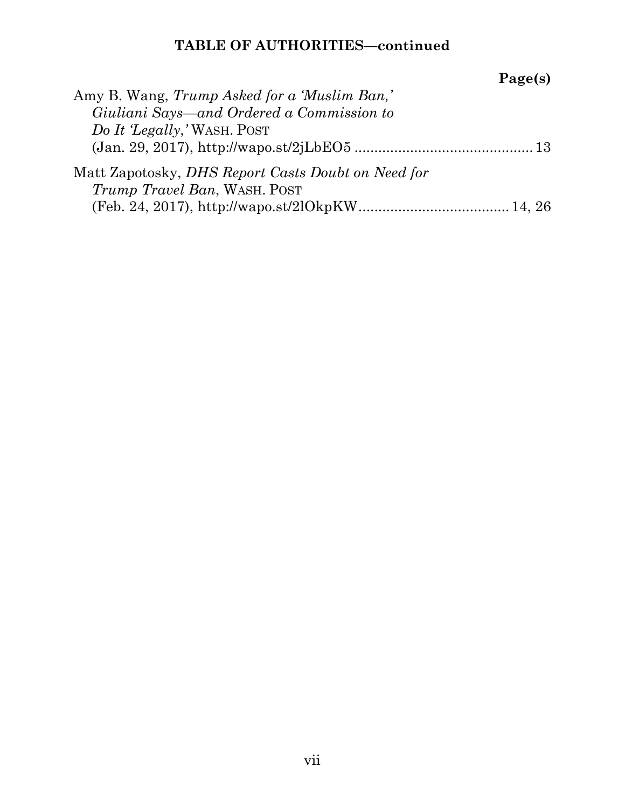|                                                           | Page(s) |
|-----------------------------------------------------------|---------|
| Amy B. Wang, Trump Asked for a 'Muslim Ban,'              |         |
| Giuliani Says—and Ordered a Commission to                 |         |
| Do It 'Legally,' WASH. POST                               |         |
|                                                           |         |
| Matt Zapotosky, <i>DHS Report Casts Doubt on Need for</i> |         |
| <i>Trump Travel Ban, WASH. POST</i>                       |         |
|                                                           |         |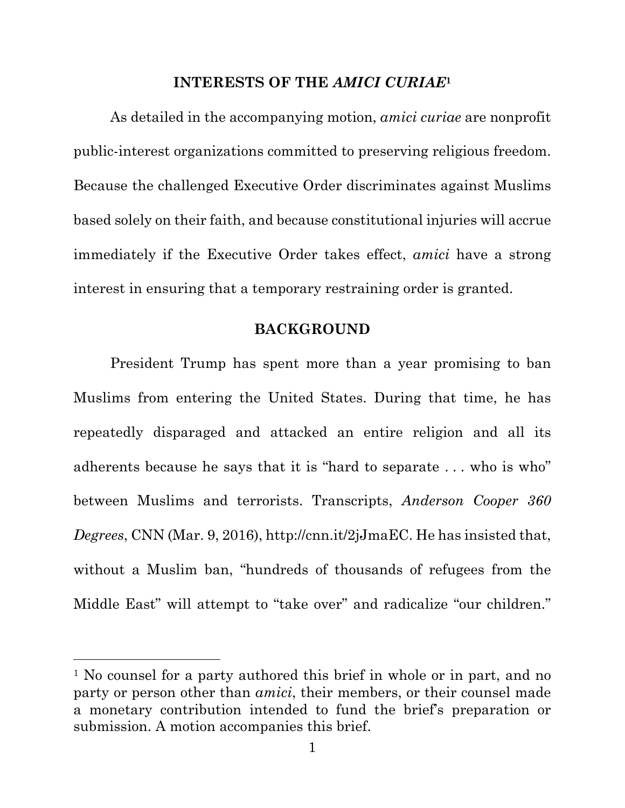#### **INTERESTS OF THE** *AMICI CURIAE***<sup>1</sup>**

As detailed in the accompanying motion, *amici curiae* are nonprofit public-interest organizations committed to preserving religious freedom. Because the challenged Executive Order discriminates against Muslims based solely on their faith, and because constitutional injuries will accrue immediately if the Executive Order takes effect, *amici* have a strong interest in ensuring that a temporary restraining order is granted.

### **BACKGROUND**

President Trump has spent more than a year promising to ban Muslims from entering the United States. During that time, he has repeatedly disparaged and attacked an entire religion and all its adherents because he says that it is "hard to separate . . . who is who" between Muslims and terrorists. Transcripts, *Anderson Cooper 360 Degrees*, CNN (Mar. 9, 2016), http://cnn.it/2jJmaEC. He has insisted that, without a Muslim ban, "hundreds of thousands of refugees from the Middle East" will attempt to "take over" and radicalize "our children."

 $\overline{a}$ 

<sup>&</sup>lt;sup>1</sup> No counsel for a party authored this brief in whole or in part, and no party or person other than *amici*, their members, or their counsel made a monetary contribution intended to fund the brief's preparation or submission. A motion accompanies this brief.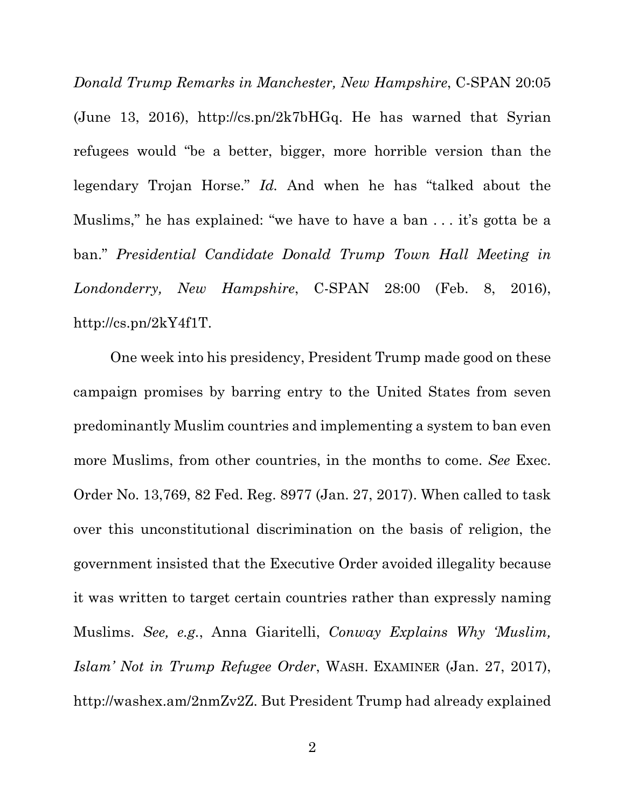*Donald Trump Remarks in Manchester, New Hampshire*, C-SPAN 20:05 (June 13, 2016), http://cs.pn/2k7bHGq. He has warned that Syrian refugees would "be a better, bigger, more horrible version than the legendary Trojan Horse." *Id.* And when he has "talked about the Muslims," he has explained: "we have to have a ban . . . it's gotta be a ban." *Presidential Candidate Donald Trump Town Hall Meeting in Londonderry, New Hampshire*, C-SPAN 28:00 (Feb. 8, 2016), http://cs.pn/2kY4f1T.

One week into his presidency, President Trump made good on these campaign promises by barring entry to the United States from seven predominantly Muslim countries and implementing a system to ban even more Muslims, from other countries, in the months to come. *See* Exec. Order No. 13,769, 82 Fed. Reg. 8977 (Jan. 27, 2017). When called to task over this unconstitutional discrimination on the basis of religion, the government insisted that the Executive Order avoided illegality because it was written to target certain countries rather than expressly naming Muslims. *See, e.g.*, Anna Giaritelli, *Conway Explains Why 'Muslim, Islam' Not in Trump Refugee Order*, WASH. EXAMINER (Jan. 27, 2017), http://washex.am/2nmZv2Z. But President Trump had already explained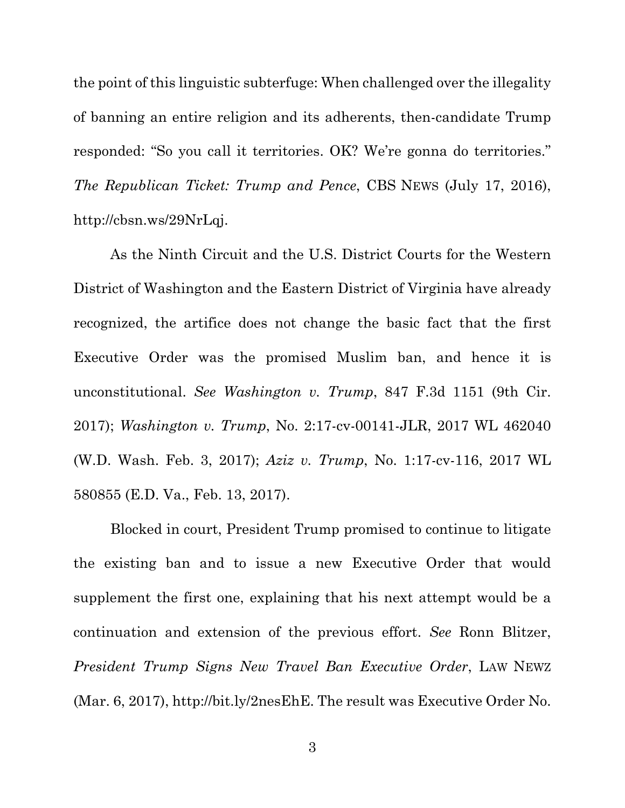the point of this linguistic subterfuge: When challenged over the illegality of banning an entire religion and its adherents, then-candidate Trump responded: "So you call it territories. OK? We're gonna do territories." *The Republican Ticket: Trump and Pence*, CBS NEWS (July 17, 2016), http://cbsn.ws/29NrLqj.

As the Ninth Circuit and the U.S. District Courts for the Western District of Washington and the Eastern District of Virginia have already recognized, the artifice does not change the basic fact that the first Executive Order was the promised Muslim ban, and hence it is unconstitutional. *See Washington v. Trump*, 847 F.3d 1151 (9th Cir. 2017); *Washington v. Trump*, No. 2:17-cv-00141-JLR, 2017 WL 462040 (W.D. Wash. Feb. 3, 2017); *Aziz v. Trump*, No. 1:17-cv-116, 2017 WL 580855 (E.D. Va., Feb. 13, 2017).

Blocked in court, President Trump promised to continue to litigate the existing ban and to issue a new Executive Order that would supplement the first one, explaining that his next attempt would be a continuation and extension of the previous effort. *See* Ronn Blitzer, *President Trump Signs New Travel Ban Executive Order*, LAW NEWZ (Mar. 6, 2017), http://bit.ly/2nesEhE. The result was Executive Order No.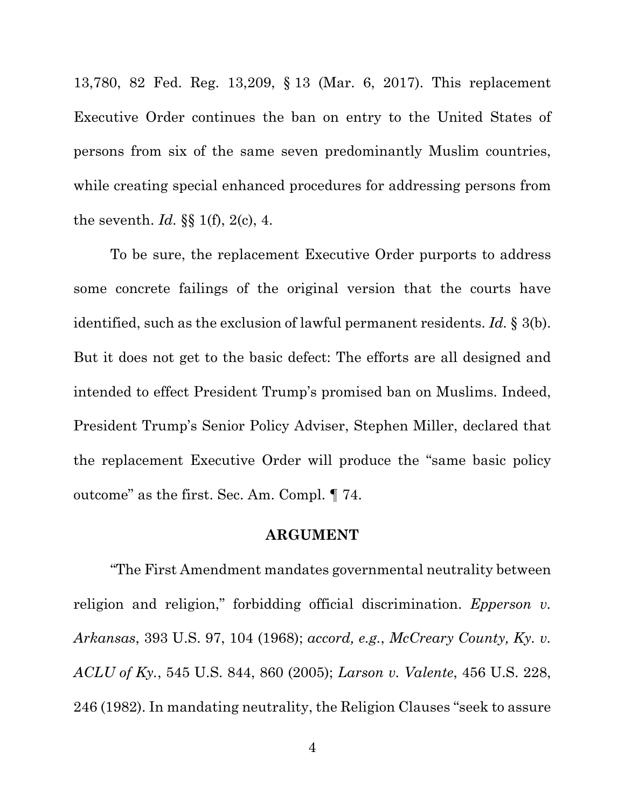13,780, 82 Fed. Reg. 13,209, § 13 (Mar. 6, 2017). This replacement Executive Order continues the ban on entry to the United States of persons from six of the same seven predominantly Muslim countries, while creating special enhanced procedures for addressing persons from the seventh. *Id.* §§ 1(f), 2(c), 4.

To be sure, the replacement Executive Order purports to address some concrete failings of the original version that the courts have identified, such as the exclusion of lawful permanent residents. *Id.* § 3(b). But it does not get to the basic defect: The efforts are all designed and intended to effect President Trump's promised ban on Muslims. Indeed, President Trump's Senior Policy Adviser, Stephen Miller, declared that the replacement Executive Order will produce the "same basic policy outcome" as the first. Sec. Am. Compl. ¶ 74.

### **ARGUMENT**

"The First Amendment mandates governmental neutrality between religion and religion," forbidding official discrimination. *Epperson v. Arkansas*, 393 U.S. 97, 104 (1968); *accord, e.g.*, *McCreary County, Ky. v. ACLU of Ky.*, 545 U.S. 844, 860 (2005); *Larson v. Valente*, 456 U.S. 228, 246 (1982). In mandating neutrality, the Religion Clauses "seek to assure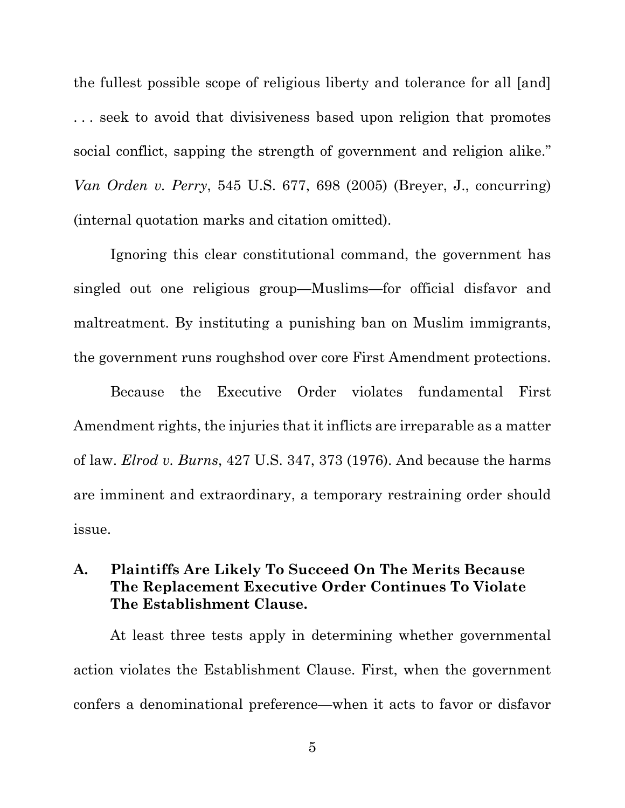the fullest possible scope of religious liberty and tolerance for all [and] . . . seek to avoid that divisiveness based upon religion that promotes social conflict, sapping the strength of government and religion alike." *Van Orden v. Perry*, 545 U.S. 677, 698 (2005) (Breyer, J., concurring) (internal quotation marks and citation omitted).

Ignoring this clear constitutional command, the government has singled out one religious group—Muslims—for official disfavor and maltreatment. By instituting a punishing ban on Muslim immigrants, the government runs roughshod over core First Amendment protections.

Because the Executive Order violates fundamental First Amendment rights, the injuries that it inflicts are irreparable as a matter of law. *Elrod v. Burns*, 427 U.S. 347, 373 (1976). And because the harms are imminent and extraordinary, a temporary restraining order should issue.

## **A. Plaintiffs Are Likely To Succeed On The Merits Because The Replacement Executive Order Continues To Violate The Establishment Clause.**

At least three tests apply in determining whether governmental action violates the Establishment Clause. First, when the government confers a denominational preference—when it acts to favor or disfavor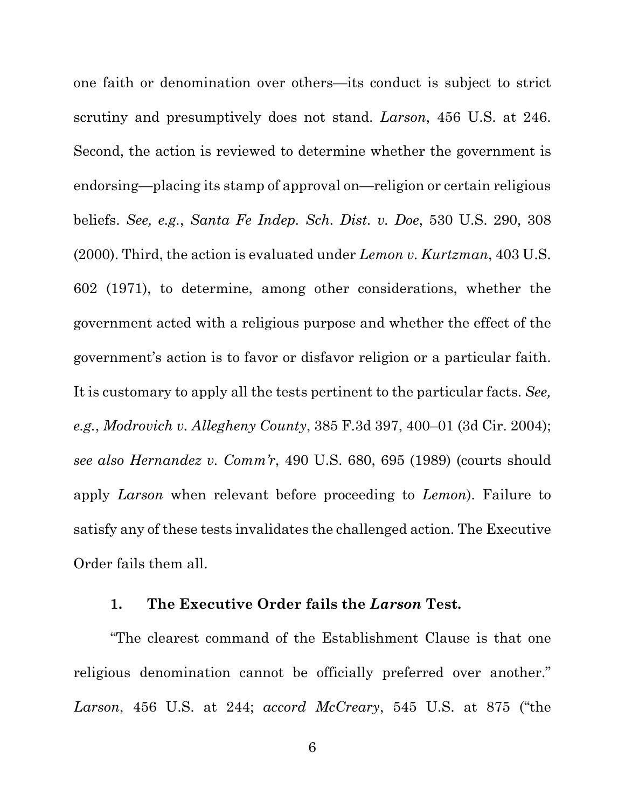one faith or denomination over others—its conduct is subject to strict scrutiny and presumptively does not stand. *Larson*, 456 U.S. at 246. Second, the action is reviewed to determine whether the government is endorsing—placing its stamp of approval on—religion or certain religious beliefs. *See, e.g.*, *Santa Fe Indep. Sch. Dist. v. Doe*, 530 U.S. 290, 308 (2000). Third, the action is evaluated under *Lemon v. Kurtzman*, 403 U.S. 602 (1971), to determine, among other considerations, whether the government acted with a religious purpose and whether the effect of the government's action is to favor or disfavor religion or a particular faith. It is customary to apply all the tests pertinent to the particular facts. *See, e.g.*, *Modrovich v. Allegheny County*, 385 F.3d 397, 400–01 (3d Cir. 2004); *see also Hernandez v. Comm'r*, 490 U.S. 680, 695 (1989) (courts should apply *Larson* when relevant before proceeding to *Lemon*). Failure to satisfy any of these tests invalidates the challenged action. The Executive Order fails them all.

### **1. The Executive Order fails the** *Larson* **Test.**

"The clearest command of the Establishment Clause is that one religious denomination cannot be officially preferred over another." *Larson*, 456 U.S. at 244; *accord McCreary*, 545 U.S. at 875 ("the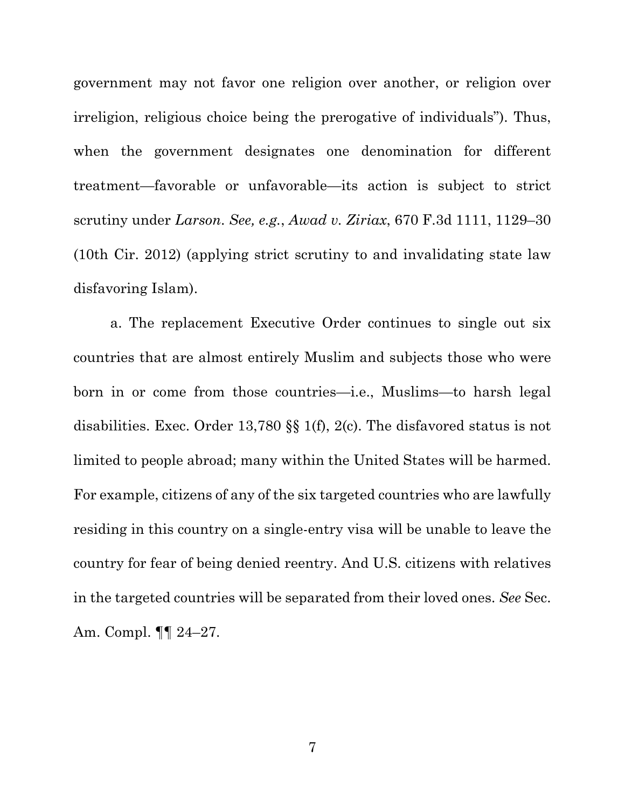government may not favor one religion over another, or religion over irreligion, religious choice being the prerogative of individuals"). Thus, when the government designates one denomination for different treatment—favorable or unfavorable—its action is subject to strict scrutiny under *Larson*. *See, e.g.*, *Awad v. Ziriax*, 670 F.3d 1111, 1129–30 (10th Cir. 2012) (applying strict scrutiny to and invalidating state law disfavoring Islam).

a. The replacement Executive Order continues to single out six countries that are almost entirely Muslim and subjects those who were born in or come from those countries—i.e., Muslims—to harsh legal disabilities. Exec. Order 13,780 §§ 1(f), 2(c). The disfavored status is not limited to people abroad; many within the United States will be harmed. For example, citizens of any of the six targeted countries who are lawfully residing in this country on a single-entry visa will be unable to leave the country for fear of being denied reentry. And U.S. citizens with relatives in the targeted countries will be separated from their loved ones. *See* Sec. Am. Compl. ¶¶ 24–27.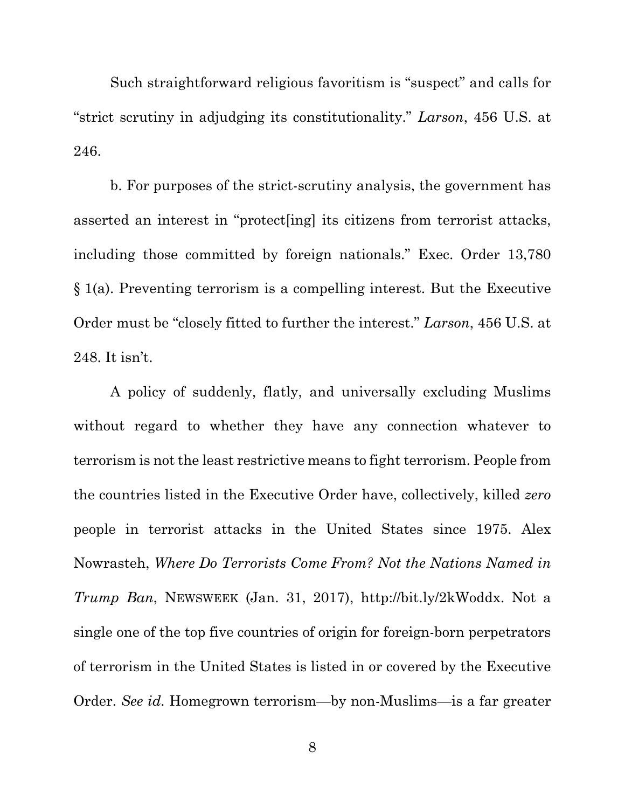Such straightforward religious favoritism is "suspect" and calls for "strict scrutiny in adjudging its constitutionality." *Larson*, 456 U.S. at 246.

b. For purposes of the strict-scrutiny analysis, the government has asserted an interest in "protect[ing] its citizens from terrorist attacks, including those committed by foreign nationals." Exec. Order 13,780 § 1(a). Preventing terrorism is a compelling interest. But the Executive Order must be "closely fitted to further the interest." *Larson*, 456 U.S. at 248. It isn't.

A policy of suddenly, flatly, and universally excluding Muslims without regard to whether they have any connection whatever to terrorism is not the least restrictive means to fight terrorism. People from the countries listed in the Executive Order have, collectively, killed *zero* people in terrorist attacks in the United States since 1975. Alex Nowrasteh, *Where Do Terrorists Come From? Not the Nations Named in Trump Ban*, NEWSWEEK (Jan. 31, 2017), http://bit.ly/2kWoddx. Not a single one of the top five countries of origin for foreign-born perpetrators of terrorism in the United States is listed in or covered by the Executive Order. *See id.* Homegrown terrorism—by non-Muslims—is a far greater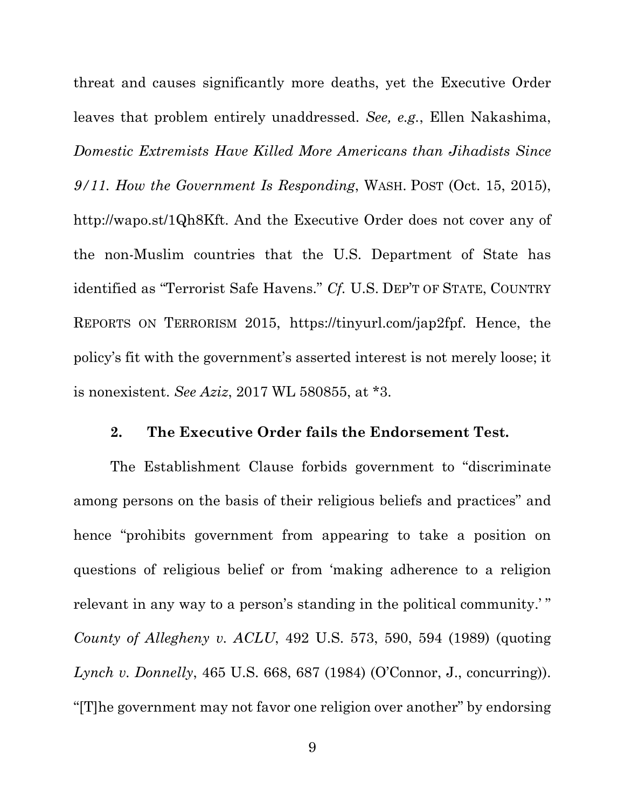threat and causes significantly more deaths, yet the Executive Order leaves that problem entirely unaddressed. *See, e.g.*, Ellen Nakashima, *Domestic Extremists Have Killed More Americans than Jihadists Since 9/11. How the Government Is Responding*, WASH. POST (Oct. 15, 2015), http://wapo.st/1Qh8Kft. And the Executive Order does not cover any of the non-Muslim countries that the U.S. Department of State has identified as "Terrorist Safe Havens." *Cf.* U.S. DEP'T OF STATE, COUNTRY REPORTS ON TERRORISM 2015, https://tinyurl.com/jap2fpf. Hence, the policy's fit with the government's asserted interest is not merely loose; it is nonexistent. *See Aziz*, 2017 WL 580855, at \*3.

#### **2. The Executive Order fails the Endorsement Test.**

The Establishment Clause forbids government to "discriminate among persons on the basis of their religious beliefs and practices" and hence "prohibits government from appearing to take a position on questions of religious belief or from 'making adherence to a religion relevant in any way to a person's standing in the political community.'" *County of Allegheny v. ACLU*, 492 U.S. 573, 590, 594 (1989) (quoting *Lynch v. Donnelly*, 465 U.S. 668, 687 (1984) (O'Connor, J., concurring)). "[T]he government may not favor one religion over another" by endorsing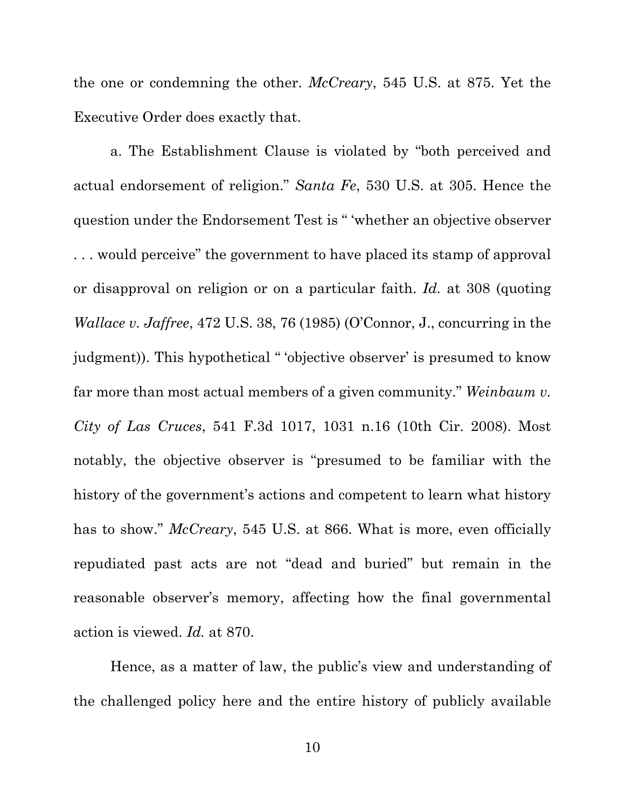the one or condemning the other. *McCreary*, 545 U.S. at 875. Yet the Executive Order does exactly that.

a. The Establishment Clause is violated by "both perceived and actual endorsement of religion." *Santa Fe*, 530 U.S. at 305. Hence the question under the Endorsement Test is " 'whether an objective observer . . . would perceive" the government to have placed its stamp of approval or disapproval on religion or on a particular faith. *Id.* at 308 (quoting *Wallace v. Jaffree*, 472 U.S. 38, 76 (1985) (O'Connor, J., concurring in the judgment)). This hypothetical " 'objective observer' is presumed to know far more than most actual members of a given community." *Weinbaum v. City of Las Cruces*, 541 F.3d 1017, 1031 n.16 (10th Cir. 2008). Most notably, the objective observer is "presumed to be familiar with the history of the government's actions and competent to learn what history has to show." *McCreary*, 545 U.S. at 866. What is more, even officially repudiated past acts are not "dead and buried" but remain in the reasonable observer's memory, affecting how the final governmental action is viewed. *Id.* at 870.

Hence, as a matter of law, the public's view and understanding of the challenged policy here and the entire history of publicly available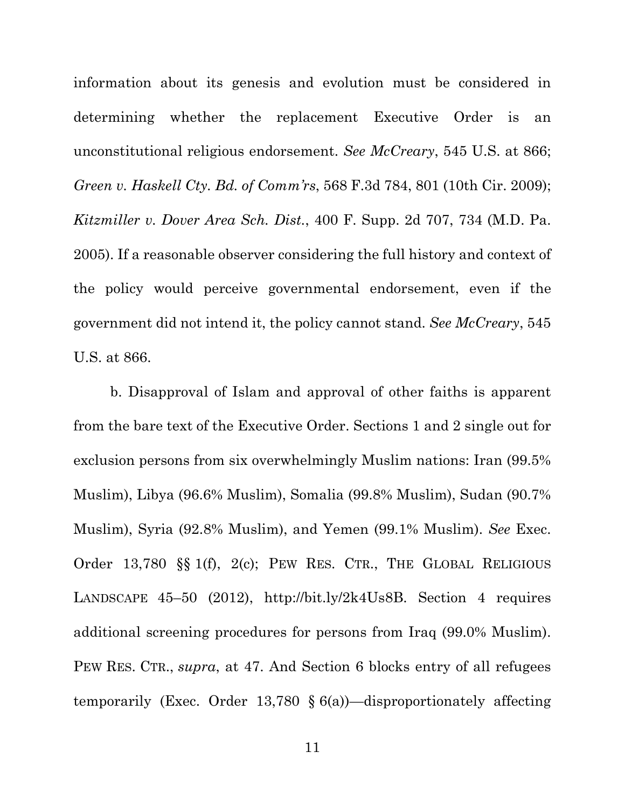information about its genesis and evolution must be considered in determining whether the replacement Executive Order is an unconstitutional religious endorsement. *See McCreary*, 545 U.S. at 866; *Green v. Haskell Cty. Bd. of Comm'rs*, 568 F.3d 784, 801 (10th Cir. 2009); *Kitzmiller v. Dover Area Sch. Dist.*, 400 F. Supp. 2d 707, 734 (M.D. Pa. 2005). If a reasonable observer considering the full history and context of the policy would perceive governmental endorsement, even if the government did not intend it, the policy cannot stand. *See McCreary*, 545 U.S. at 866.

b. Disapproval of Islam and approval of other faiths is apparent from the bare text of the Executive Order. Sections 1 and 2 single out for exclusion persons from six overwhelmingly Muslim nations: Iran (99.5% Muslim), Libya (96.6% Muslim), Somalia (99.8% Muslim), Sudan (90.7% Muslim), Syria (92.8% Muslim), and Yemen (99.1% Muslim). *See* Exec. Order 13,780 §§ 1(f), 2(c); PEW RES. CTR., THE GLOBAL RELIGIOUS LANDSCAPE 45–50 (2012), http://bit.ly/2k4Us8B. Section 4 requires additional screening procedures for persons from Iraq (99.0% Muslim). PEW RES. CTR., *supra*, at 47. And Section 6 blocks entry of all refugees temporarily (Exec. Order 13,780 § 6(a))—disproportionately affecting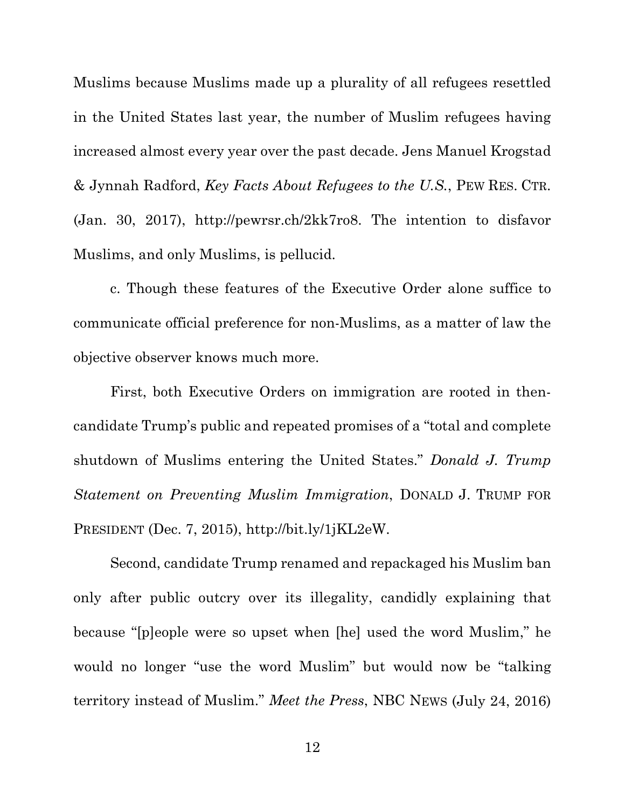Muslims because Muslims made up a plurality of all refugees resettled in the United States last year, the number of Muslim refugees having increased almost every year over the past decade. Jens Manuel Krogstad & Jynnah Radford, *Key Facts About Refugees to the U.S.*, PEW RES. CTR. (Jan. 30, 2017), http://pewrsr.ch/2kk7ro8. The intention to disfavor Muslims, and only Muslims, is pellucid.

c. Though these features of the Executive Order alone suffice to communicate official preference for non-Muslims, as a matter of law the objective observer knows much more.

First, both Executive Orders on immigration are rooted in thencandidate Trump's public and repeated promises of a "total and complete shutdown of Muslims entering the United States." *Donald J. Trump Statement on Preventing Muslim Immigration*, DONALD J. TRUMP FOR PRESIDENT (Dec. 7, 2015), http://bit.ly/1jKL2eW.

Second, candidate Trump renamed and repackaged his Muslim ban only after public outcry over its illegality, candidly explaining that because "[p]eople were so upset when [he] used the word Muslim," he would no longer "use the word Muslim" but would now be "talking territory instead of Muslim." *Meet the Press*, NBC NEWS (July 24, 2016)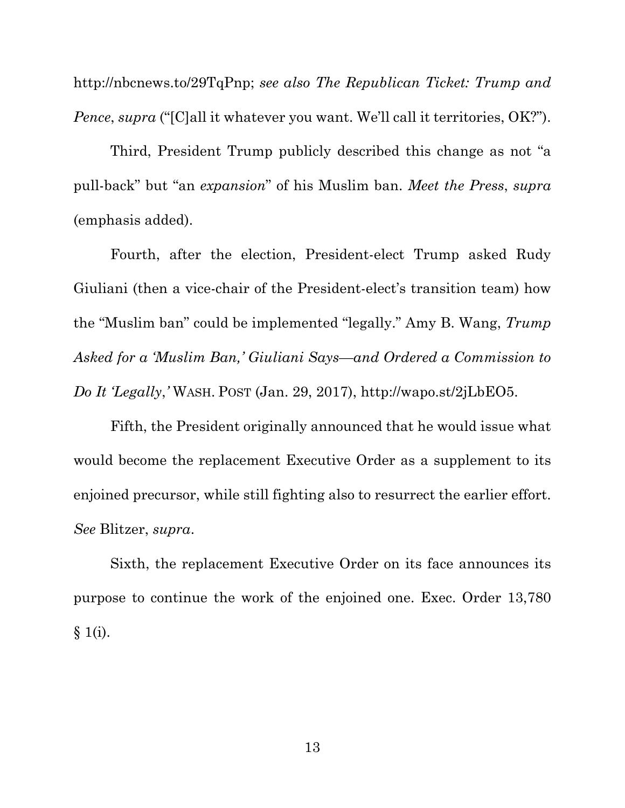http://nbcnews.to/29TqPnp; *see also The Republican Ticket: Trump and Pence*, *supra* ("[C]all it whatever you want. We'll call it territories, OK?").

Third, President Trump publicly described this change as not "a pull-back" but "an *expansion*" of his Muslim ban. *Meet the Press*, *supra* (emphasis added).

Fourth, after the election, President-elect Trump asked Rudy Giuliani (then a vice-chair of the President-elect's transition team) how the "Muslim ban" could be implemented "legally." Amy B. Wang, *Trump Asked for a 'Muslim Ban,' Giuliani Says—and Ordered a Commission to Do It 'Legally*,*'* WASH. POST (Jan. 29, 2017), http://wapo.st/2jLbEO5.

Fifth, the President originally announced that he would issue what would become the replacement Executive Order as a supplement to its enjoined precursor, while still fighting also to resurrect the earlier effort. *See* Blitzer, *supra*.

Sixth, the replacement Executive Order on its face announces its purpose to continue the work of the enjoined one. Exec. Order 13,780  $§ 1(i).$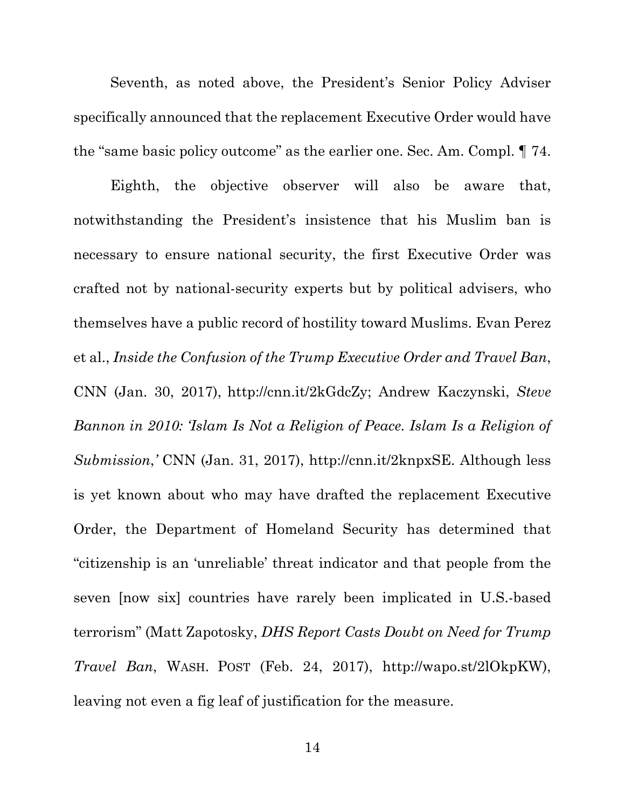Seventh, as noted above, the President's Senior Policy Adviser specifically announced that the replacement Executive Order would have the "same basic policy outcome" as the earlier one. Sec. Am. Compl. ¶ 74.

Eighth, the objective observer will also be aware that, notwithstanding the President's insistence that his Muslim ban is necessary to ensure national security, the first Executive Order was crafted not by national-security experts but by political advisers, who themselves have a public record of hostility toward Muslims. Evan Perez et al., *Inside the Confusion of the Trump Executive Order and Travel Ban*, CNN (Jan. 30, 2017), http://cnn.it/2kGdcZy; Andrew Kaczynski, *Steve Bannon in 2010: 'Islam Is Not a Religion of Peace. Islam Is a Religion of Submission*,*'* CNN (Jan. 31, 2017), http://cnn.it/2knpxSE. Although less is yet known about who may have drafted the replacement Executive Order, the Department of Homeland Security has determined that "citizenship is an 'unreliable' threat indicator and that people from the seven [now six] countries have rarely been implicated in U.S.-based terrorism" (Matt Zapotosky, *DHS Report Casts Doubt on Need for Trump Travel Ban*, WASH. POST (Feb. 24, 2017), http://wapo.st/2lOkpKW), leaving not even a fig leaf of justification for the measure.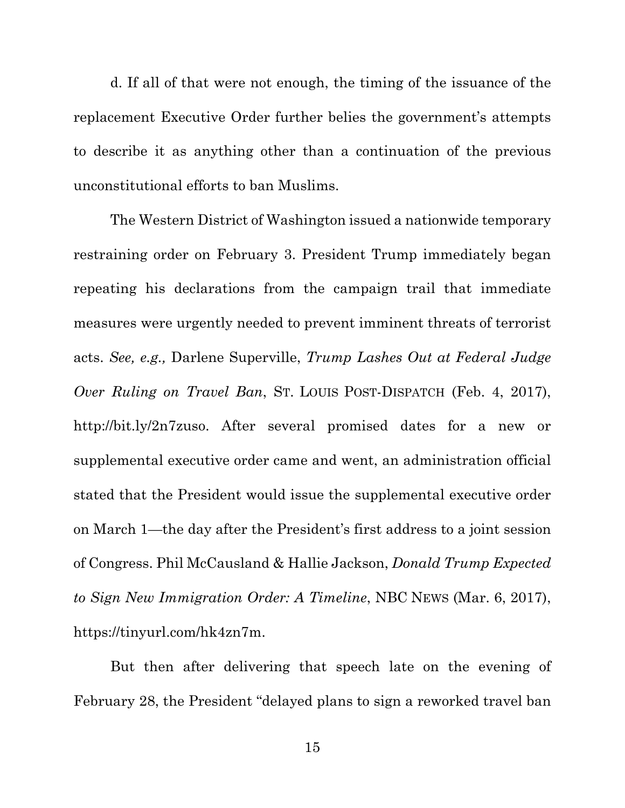d. If all of that were not enough, the timing of the issuance of the replacement Executive Order further belies the government's attempts to describe it as anything other than a continuation of the previous unconstitutional efforts to ban Muslims.

The Western District of Washington issued a nationwide temporary restraining order on February 3. President Trump immediately began repeating his declarations from the campaign trail that immediate measures were urgently needed to prevent imminent threats of terrorist acts. *See, e.g.,* Darlene Superville, *Trump Lashes Out at Federal Judge Over Ruling on Travel Ban*, ST. LOUIS POST-DISPATCH (Feb. 4, 2017), http://bit.ly/2n7zuso. After several promised dates for a new or supplemental executive order came and went, an administration official stated that the President would issue the supplemental executive order on March 1—the day after the President's first address to a joint session of Congress. Phil McCausland & Hallie Jackson, *Donald Trump Expected to Sign New Immigration Order: A Timeline*, NBC NEWS (Mar. 6, 2017), https://tinyurl.com/hk4zn7m.

But then after delivering that speech late on the evening of February 28, the President "delayed plans to sign a reworked travel ban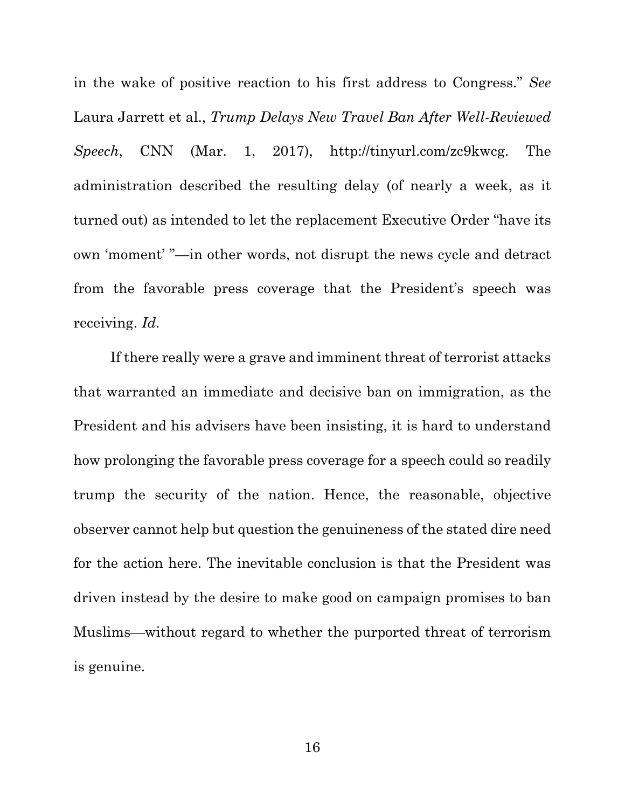in the wake of positive reaction to his first address to Congress." *See*  Laura Jarrett et al., *Trump Delays New Travel Ban After Well-Reviewed Speech*, CNN (Mar. 1, 2017), http://tinyurl.com/zc9kwcg. The administration described the resulting delay (of nearly a week, as it turned out) as intended to let the replacement Executive Order "have its own 'moment' "—in other words, not disrupt the news cycle and detract from the favorable press coverage that the President's speech was receiving. *Id.*

If there really were a grave and imminent threat of terrorist attacks that warranted an immediate and decisive ban on immigration, as the President and his advisers have been insisting, it is hard to understand how prolonging the favorable press coverage for a speech could so readily trump the security of the nation. Hence, the reasonable, objective observer cannot help but question the genuineness of the stated dire need for the action here. The inevitable conclusion is that the President was driven instead by the desire to make good on campaign promises to ban Muslims—without regard to whether the purported threat of terrorism is genuine.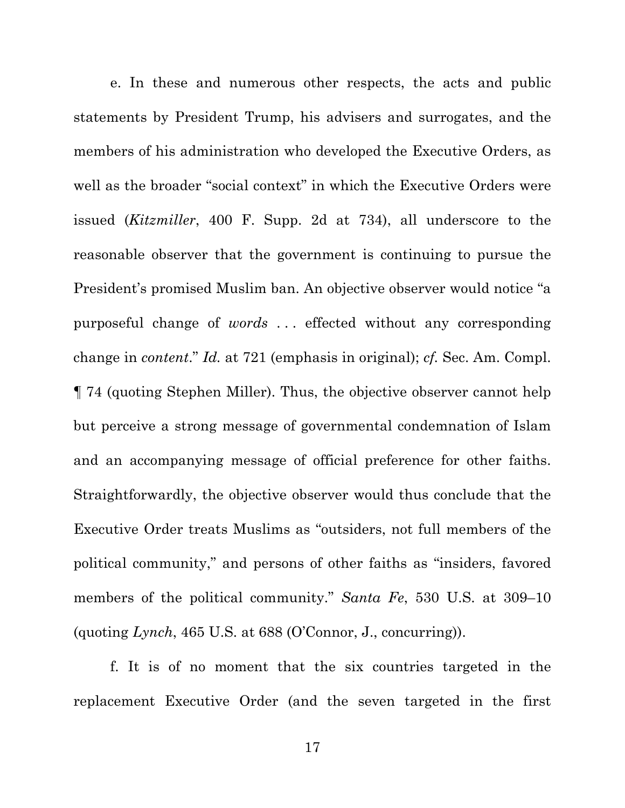e. In these and numerous other respects, the acts and public statements by President Trump, his advisers and surrogates, and the members of his administration who developed the Executive Orders, as well as the broader "social context" in which the Executive Orders were issued (*Kitzmiller*, 400 F. Supp. 2d at 734), all underscore to the reasonable observer that the government is continuing to pursue the President's promised Muslim ban. An objective observer would notice "a purposeful change of *words* . . . effected without any corresponding change in *content*." *Id.* at 721 (emphasis in original); *cf.* Sec. Am. Compl. ¶ 74 (quoting Stephen Miller). Thus, the objective observer cannot help but perceive a strong message of governmental condemnation of Islam and an accompanying message of official preference for other faiths. Straightforwardly, the objective observer would thus conclude that the Executive Order treats Muslims as "outsiders, not full members of the political community," and persons of other faiths as "insiders, favored members of the political community." *Santa Fe*, 530 U.S. at 309–10 (quoting *Lynch*, 465 U.S. at 688 (O'Connor, J., concurring)).

f. It is of no moment that the six countries targeted in the replacement Executive Order (and the seven targeted in the first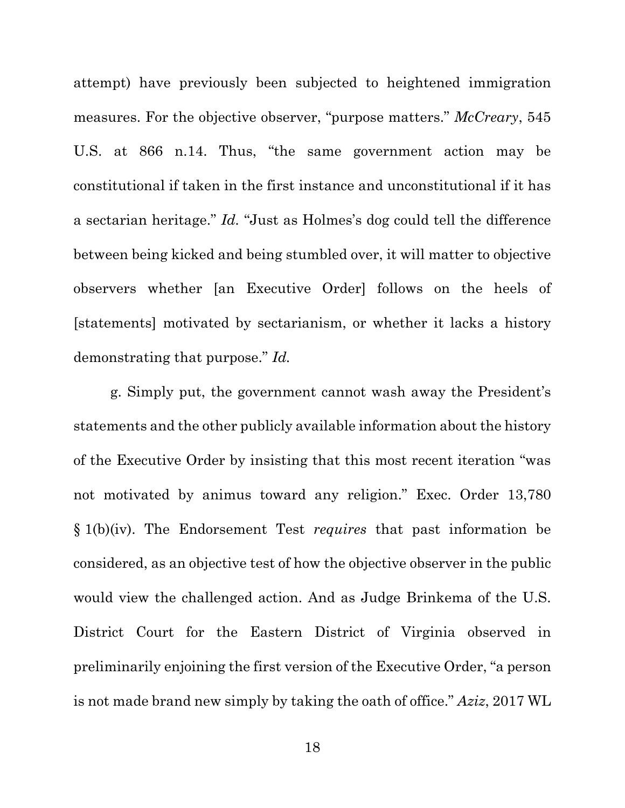attempt) have previously been subjected to heightened immigration measures. For the objective observer, "purpose matters." *McCreary*, 545 U.S. at 866 n.14. Thus, "the same government action may be constitutional if taken in the first instance and unconstitutional if it has a sectarian heritage." *Id.* "Just as Holmes's dog could tell the difference between being kicked and being stumbled over, it will matter to objective observers whether [an Executive Order] follows on the heels of [statements] motivated by sectarianism, or whether it lacks a history demonstrating that purpose." *Id.*

g. Simply put, the government cannot wash away the President's statements and the other publicly available information about the history of the Executive Order by insisting that this most recent iteration "was not motivated by animus toward any religion." Exec. Order 13,780 § 1(b)(iv). The Endorsement Test *requires* that past information be considered, as an objective test of how the objective observer in the public would view the challenged action. And as Judge Brinkema of the U.S. District Court for the Eastern District of Virginia observed in preliminarily enjoining the first version of the Executive Order, "a person is not made brand new simply by taking the oath of office." *Aziz*, 2017 WL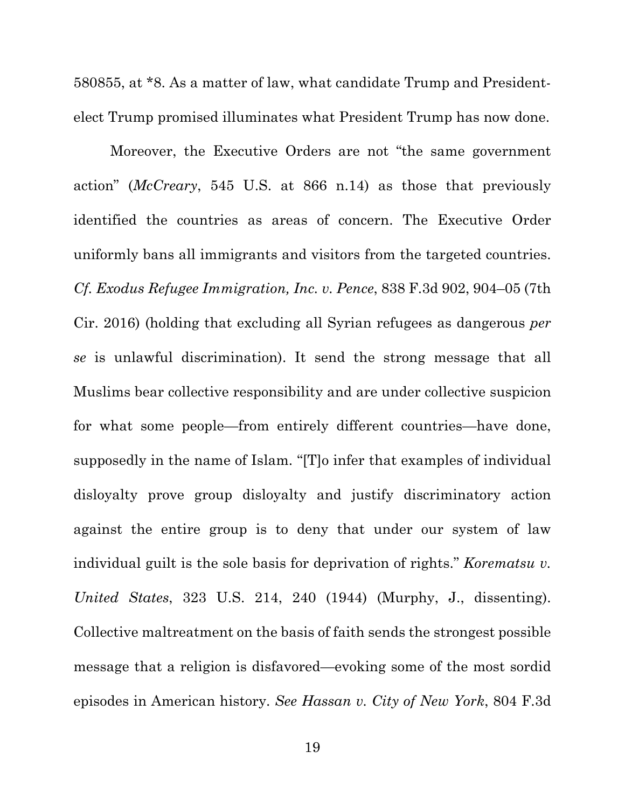580855, at \*8. As a matter of law, what candidate Trump and Presidentelect Trump promised illuminates what President Trump has now done.

Moreover, the Executive Orders are not "the same government action" (*McCreary*, 545 U.S. at 866 n.14) as those that previously identified the countries as areas of concern. The Executive Order uniformly bans all immigrants and visitors from the targeted countries. *Cf. Exodus Refugee Immigration, Inc. v. Pence*, 838 F.3d 902, 904–05 (7th Cir. 2016) (holding that excluding all Syrian refugees as dangerous *per se* is unlawful discrimination). It send the strong message that all Muslims bear collective responsibility and are under collective suspicion for what some people—from entirely different countries—have done, supposedly in the name of Islam. "[T]o infer that examples of individual disloyalty prove group disloyalty and justify discriminatory action against the entire group is to deny that under our system of law individual guilt is the sole basis for deprivation of rights." *Korematsu v. United States*, 323 U.S. 214, 240 (1944) (Murphy, J., dissenting). Collective maltreatment on the basis of faith sends the strongest possible message that a religion is disfavored—evoking some of the most sordid episodes in American history. *See Hassan v. City of New York*, 804 F.3d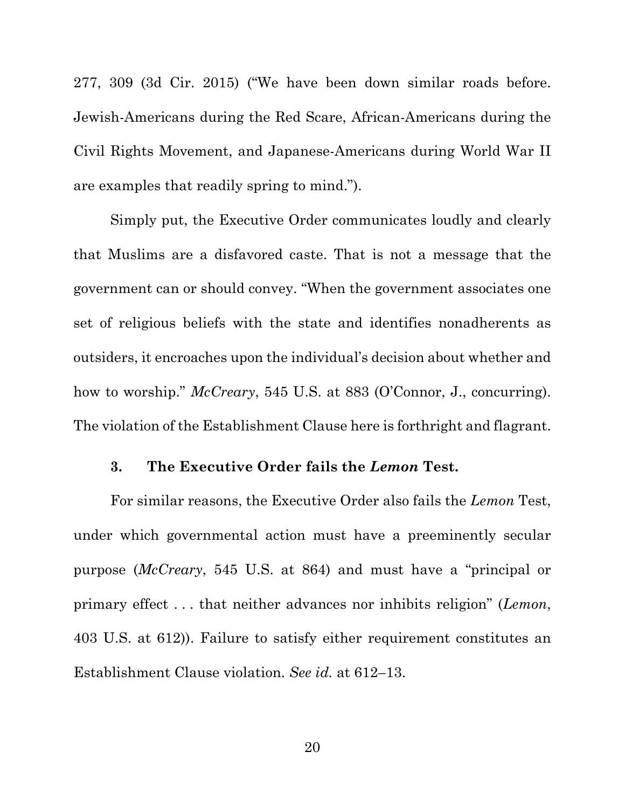277, 309 (3d Cir. 2015) ("We have been down similar roads before. Jewish-Americans during the Red Scare, African-Americans during the Civil Rights Movement, and Japanese-Americans during World War II are examples that readily spring to mind.").

Simply put, the Executive Order communicates loudly and clearly that Muslims are a disfavored caste. That is not a message that the government can or should convey. "When the government associates one set of religious beliefs with the state and identifies nonadherents as outsiders, it encroaches upon the individual's decision about whether and how to worship." *McCreary*, 545 U.S. at 883 (O'Connor, J., concurring). The violation of the Establishment Clause here is forthright and flagrant.

### **3. The Executive Order fails the** *Lemon* **Test.**

For similar reasons, the Executive Order also fails the *Lemon* Test, under which governmental action must have a preeminently secular purpose (*McCreary*, 545 U.S. at 864) and must have a "principal or primary effect . . . that neither advances nor inhibits religion" (*Lemon*, 403 U.S. at 612)). Failure to satisfy either requirement constitutes an Establishment Clause violation. *See id.* at 612–13.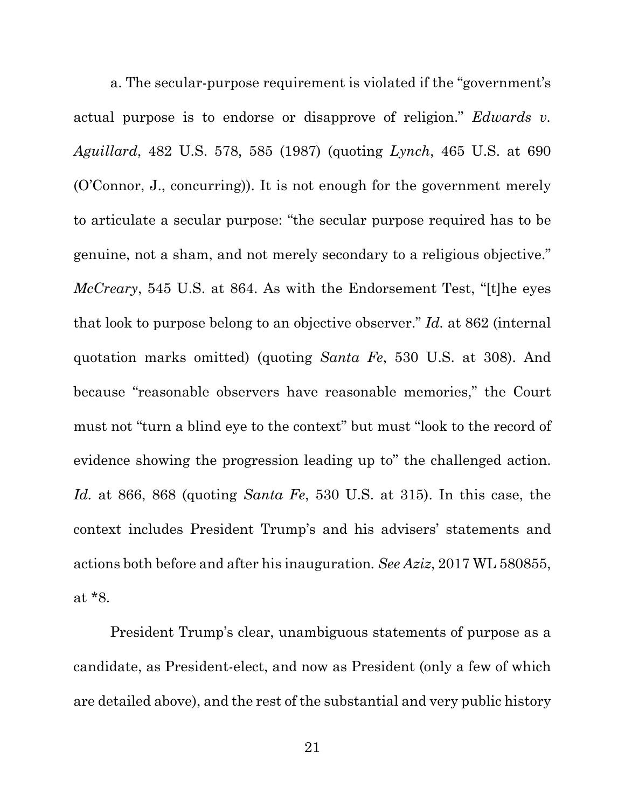a. The secular-purpose requirement is violated if the "government's actual purpose is to endorse or disapprove of religion." *Edwards v. Aguillard*, 482 U.S. 578, 585 (1987) (quoting *Lynch*, 465 U.S. at 690 (O'Connor, J., concurring)). It is not enough for the government merely to articulate a secular purpose: "the secular purpose required has to be genuine, not a sham, and not merely secondary to a religious objective." *McCreary*, 545 U.S. at 864. As with the Endorsement Test, "[t]he eyes that look to purpose belong to an objective observer." *Id.* at 862 (internal quotation marks omitted) (quoting *Santa Fe*, 530 U.S. at 308). And because "reasonable observers have reasonable memories," the Court must not "turn a blind eye to the context" but must "look to the record of evidence showing the progression leading up to" the challenged action. *Id.* at 866, 868 (quoting *Santa Fe*, 530 U.S. at 315). In this case, the context includes President Trump's and his advisers' statements and actions both before and after his inauguration*. See Aziz*, 2017 WL 580855, at \*8.

President Trump's clear, unambiguous statements of purpose as a candidate, as President-elect, and now as President (only a few of which are detailed above), and the rest of the substantial and very public history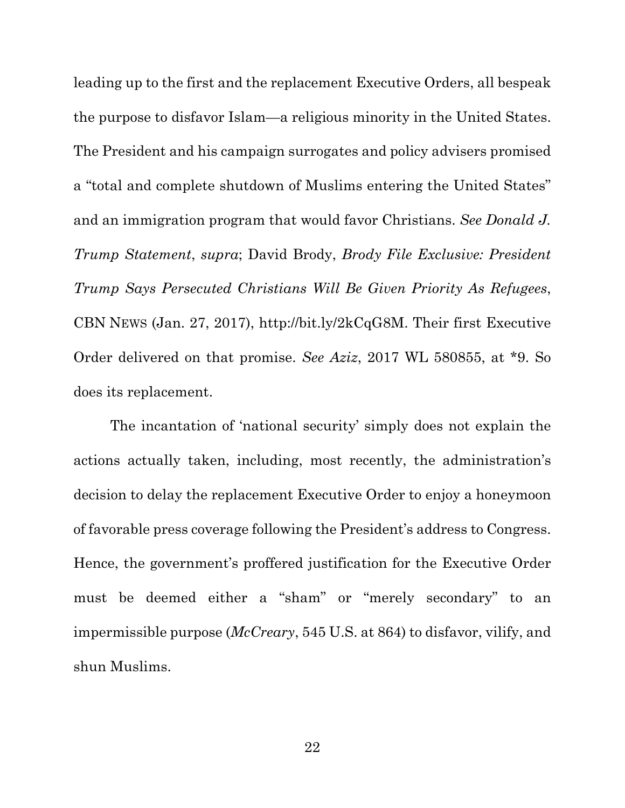leading up to the first and the replacement Executive Orders, all bespeak the purpose to disfavor Islam—a religious minority in the United States. The President and his campaign surrogates and policy advisers promised a "total and complete shutdown of Muslims entering the United States" and an immigration program that would favor Christians. *See Donald J. Trump Statement*, *supra*; David Brody, *Brody File Exclusive: President Trump Says Persecuted Christians Will Be Given Priority As Refugees*, CBN NEWS (Jan. 27, 2017), http://bit.ly/2kCqG8M. Their first Executive Order delivered on that promise. *See Aziz*, 2017 WL 580855, at \*9. So does its replacement.

The incantation of 'national security' simply does not explain the actions actually taken, including, most recently, the administration's decision to delay the replacement Executive Order to enjoy a honeymoon of favorable press coverage following the President's address to Congress. Hence, the government's proffered justification for the Executive Order must be deemed either a "sham" or "merely secondary" to an impermissible purpose (*McCreary*, 545 U.S. at 864) to disfavor, vilify, and shun Muslims.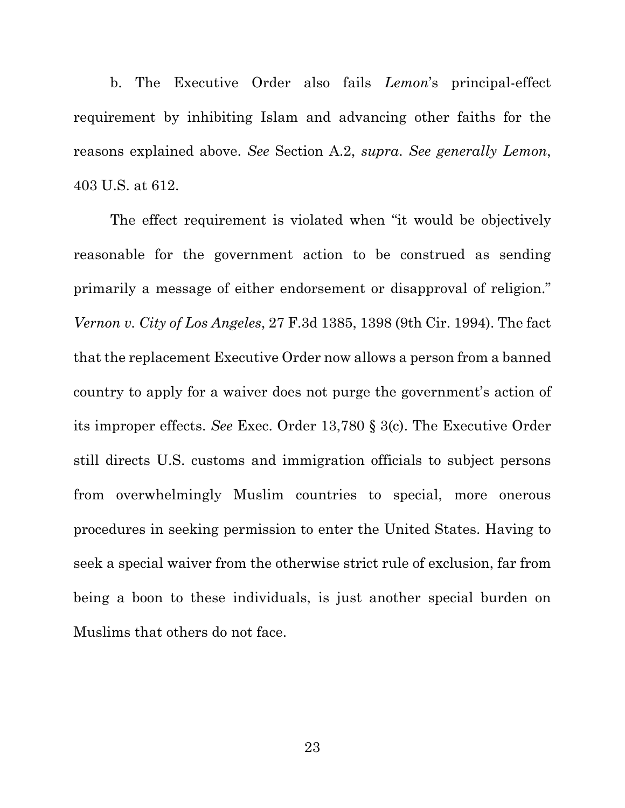b. The Executive Order also fails *Lemon*'s principal-effect requirement by inhibiting Islam and advancing other faiths for the reasons explained above. *See* Section A.2, *supra*. *See generally Lemon*, 403 U.S. at 612.

The effect requirement is violated when "it would be objectively reasonable for the government action to be construed as sending primarily a message of either endorsement or disapproval of religion." *Vernon v. City of Los Angeles*, 27 F.3d 1385, 1398 (9th Cir. 1994). The fact that the replacement Executive Order now allows a person from a banned country to apply for a waiver does not purge the government's action of its improper effects. *See* Exec. Order 13,780 § 3(c). The Executive Order still directs U.S. customs and immigration officials to subject persons from overwhelmingly Muslim countries to special, more onerous procedures in seeking permission to enter the United States. Having to seek a special waiver from the otherwise strict rule of exclusion, far from being a boon to these individuals, is just another special burden on Muslims that others do not face.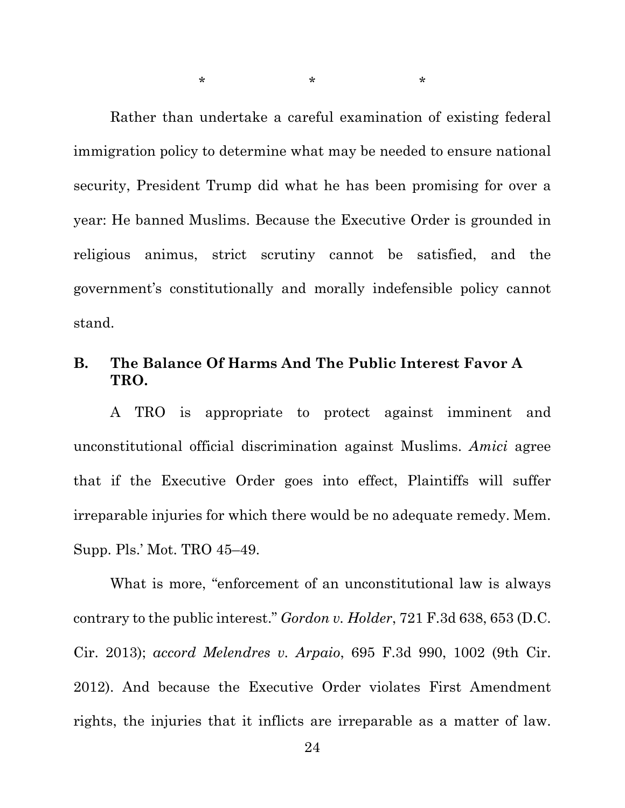Rather than undertake a careful examination of existing federal immigration policy to determine what may be needed to ensure national security, President Trump did what he has been promising for over a year: He banned Muslims. Because the Executive Order is grounded in religious animus, strict scrutiny cannot be satisfied, and the government's constitutionally and morally indefensible policy cannot stand.

 $\star$  \*  $\star$  \*  $\star$ 

### **B. The Balance Of Harms And The Public Interest Favor A TRO.**

A TRO is appropriate to protect against imminent and unconstitutional official discrimination against Muslims. *Amici* agree that if the Executive Order goes into effect, Plaintiffs will suffer irreparable injuries for which there would be no adequate remedy. Mem. Supp. Pls.' Mot. TRO 45–49.

What is more, "enforcement of an unconstitutional law is always contrary to the public interest." *Gordon v. Holder*, 721 F.3d 638, 653 (D.C. Cir. 2013); *accord Melendres v. Arpaio*, 695 F.3d 990, 1002 (9th Cir. 2012). And because the Executive Order violates First Amendment rights, the injuries that it inflicts are irreparable as a matter of law.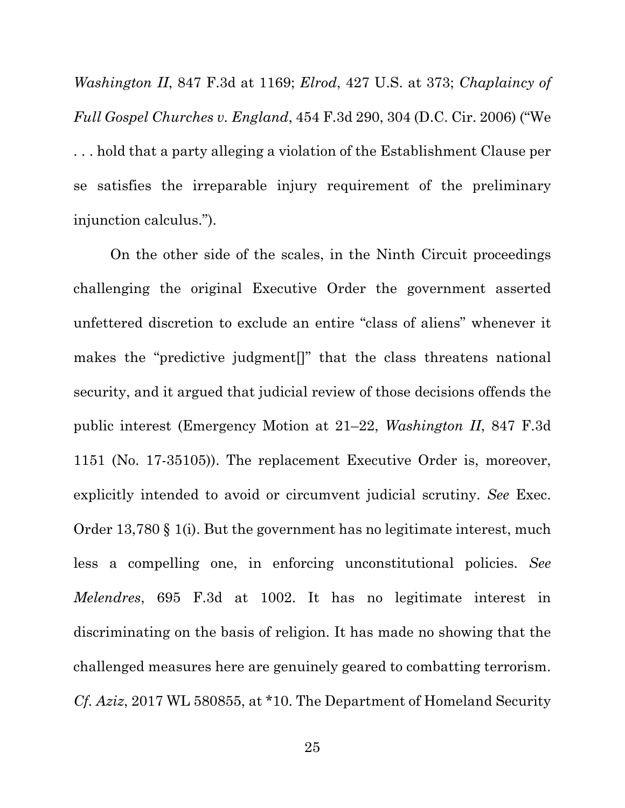*Washington II*, 847 F.3d at 1169; *Elrod*, 427 U.S. at 373; *Chaplaincy of Full Gospel Churches v. England*, 454 F.3d 290, 304 (D.C. Cir. 2006) ("We . . . hold that a party alleging a violation of the Establishment Clause per se satisfies the irreparable injury requirement of the preliminary injunction calculus.").

On the other side of the scales, in the Ninth Circuit proceedings challenging the original Executive Order the government asserted unfettered discretion to exclude an entire "class of aliens" whenever it makes the "predictive judgment[]" that the class threatens national security, and it argued that judicial review of those decisions offends the public interest (Emergency Motion at 21–22, *Washington II*, 847 F.3d 1151 (No. 17-35105)). The replacement Executive Order is, moreover, explicitly intended to avoid or circumvent judicial scrutiny. *See* Exec. Order 13,780 § 1(i). But the government has no legitimate interest, much less a compelling one, in enforcing unconstitutional policies. *See Melendres*, 695 F.3d at 1002. It has no legitimate interest in discriminating on the basis of religion. It has made no showing that the challenged measures here are genuinely geared to combatting terrorism. *Cf. Aziz*, 2017 WL 580855, at \*10. The Department of Homeland Security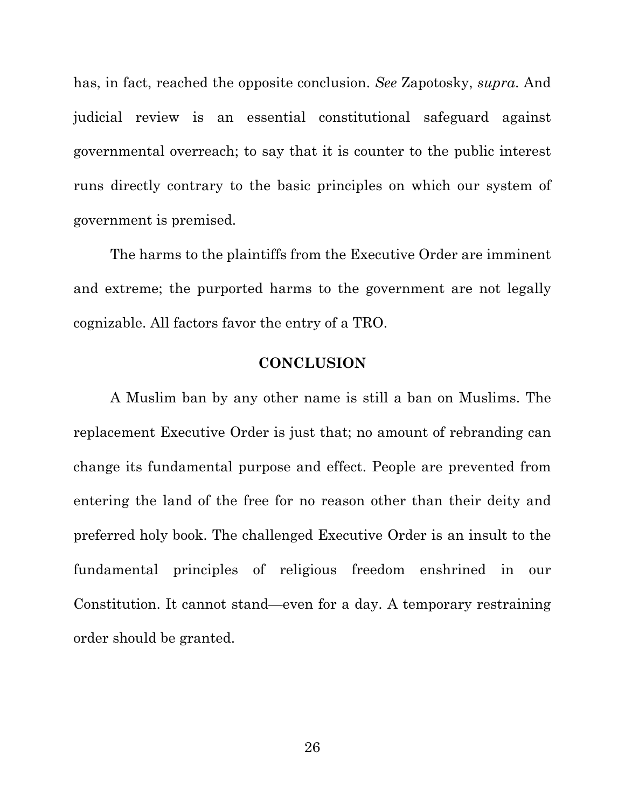has, in fact, reached the opposite conclusion. *See* Zapotosky, *supra*. And judicial review is an essential constitutional safeguard against governmental overreach; to say that it is counter to the public interest runs directly contrary to the basic principles on which our system of government is premised.

The harms to the plaintiffs from the Executive Order are imminent and extreme; the purported harms to the government are not legally cognizable. All factors favor the entry of a TRO.

### **CONCLUSION**

A Muslim ban by any other name is still a ban on Muslims. The replacement Executive Order is just that; no amount of rebranding can change its fundamental purpose and effect. People are prevented from entering the land of the free for no reason other than their deity and preferred holy book. The challenged Executive Order is an insult to the fundamental principles of religious freedom enshrined in our Constitution. It cannot stand—even for a day. A temporary restraining order should be granted.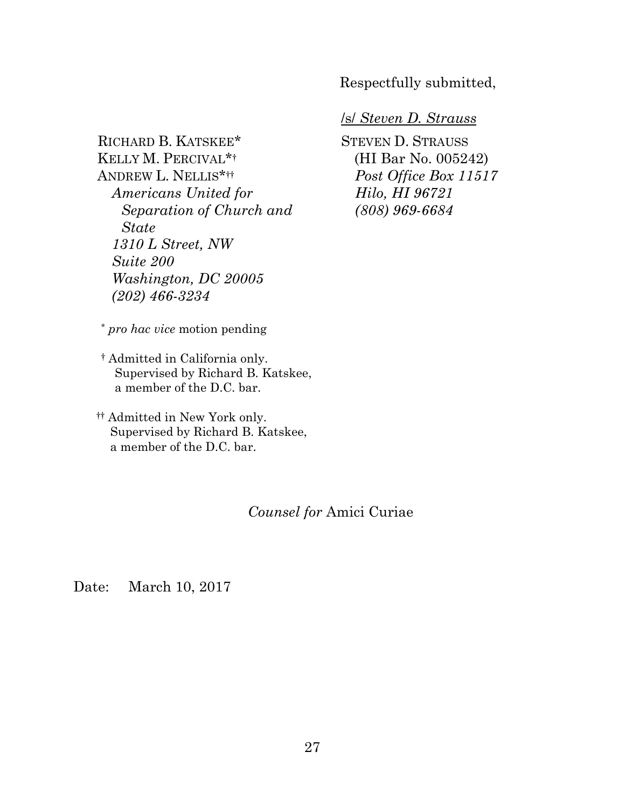Respectfully submitted,

## RICHARD B. KATSKEE\* KELLY M. PERCIVAL\*† ANDREW L. NELLIS\*†† *Americans United for Separation of Church and State 1310 L Street, NW Suite 200 Washington, DC 20005 (202) 466-3234*

/s/ *Steven D. Strauss* 

STEVEN D. STRAUSS (HI Bar No. 005242) *Post Office Box 11517 Hilo, HI 96721 (808) 969-6684* 

\* *pro hac vice* motion pending

- † Admitted in California only. Supervised by Richard B. Katskee, a member of the D.C. bar.
- †† Admitted in New York only. Supervised by Richard B. Katskee, a member of the D.C. bar.

### *Counsel for* Amici Curiae

Date: March 10, 2017